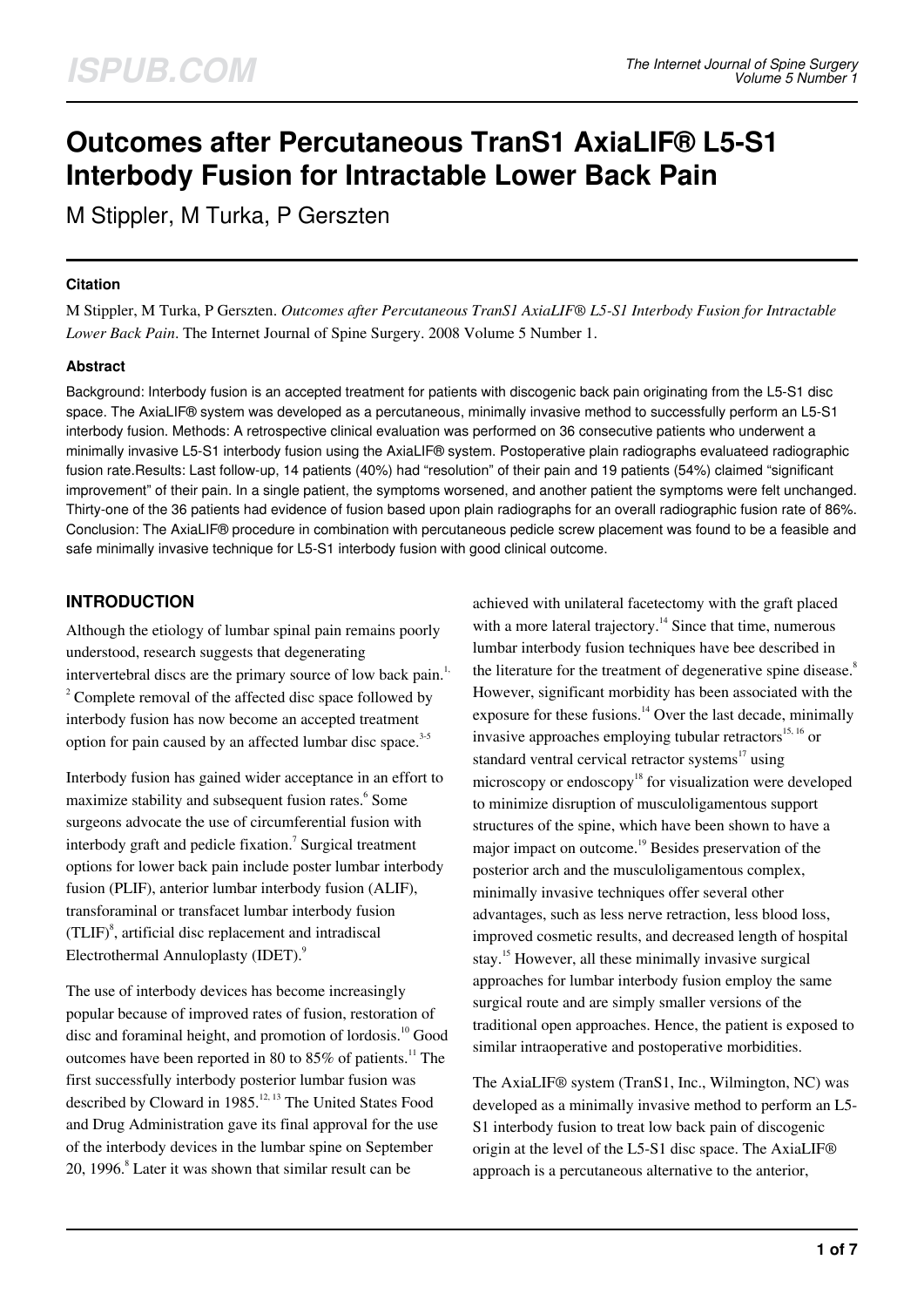# **Outcomes after Percutaneous TranS1 AxiaLIF® L5-S1 Interbody Fusion for Intractable Lower Back Pain**

M Stippler, M Turka, P Gerszten

## **Citation**

M Stippler, M Turka, P Gerszten. *Outcomes after Percutaneous TranS1 AxiaLIF® L5-S1 Interbody Fusion for Intractable Lower Back Pain*. The Internet Journal of Spine Surgery. 2008 Volume 5 Number 1.

# **Abstract**

Background: Interbody fusion is an accepted treatment for patients with discogenic back pain originating from the L5-S1 disc space. The AxiaLIF® system was developed as a percutaneous, minimally invasive method to successfully perform an L5-S1 interbody fusion. Methods: A retrospective clinical evaluation was performed on 36 consecutive patients who underwent a minimally invasive L5-S1 interbody fusion using the AxiaLIF® system. Postoperative plain radiographs evaluateed radiographic fusion rate.Results: Last follow-up, 14 patients (40%) had "resolution" of their pain and 19 patients (54%) claimed "significant improvement" of their pain. In a single patient, the symptoms worsened, and another patient the symptoms were felt unchanged. Thirty-one of the 36 patients had evidence of fusion based upon plain radiographs for an overall radiographic fusion rate of 86%. Conclusion: The AxiaLIF® procedure in combination with percutaneous pedicle screw placement was found to be a feasible and safe minimally invasive technique for L5-S1 interbody fusion with good clinical outcome.

# **INTRODUCTION**

Although the etiology of lumbar spinal pain remains poorly understood, research suggests that degenerating intervertebral discs are the primary source of low back pain.<sup>1,</sup>  $2^2$  Complete removal of the affected disc space followed by interbody fusion has now become an accepted treatment option for pain caused by an affected lumbar disc space.<sup>3-5</sup>

Interbody fusion has gained wider acceptance in an effort to maximize stability and subsequent fusion rates.<sup>6</sup> Some surgeons advocate the use of circumferential fusion with interbody graft and pedicle fixation.<sup>7</sup> Surgical treatment options for lower back pain include poster lumbar interbody fusion (PLIF), anterior lumbar interbody fusion (ALIF), transforaminal or transfacet lumbar interbody fusion  $(TLIF)^8$ , artificial disc replacement and intradiscal Electrothermal Annuloplasty (IDET).<sup>9</sup>

The use of interbody devices has become increasingly popular because of improved rates of fusion, restoration of disc and foraminal height, and promotion of lordosis.<sup>10</sup> Good outcomes have been reported in 80 to  $85\%$  of patients.<sup>11</sup> The first successfully interbody posterior lumbar fusion was described by Cloward in 1985.<sup>12, 13</sup> The United States Food and Drug Administration gave its final approval for the use of the interbody devices in the lumbar spine on September 20, 1996.<sup>8</sup> Later it was shown that similar result can be

achieved with unilateral facetectomy with the graft placed with a more lateral trajectory.<sup>14</sup> Since that time, numerous lumbar interbody fusion techniques have bee described in the literature for the treatment of degenerative spine disease. $8$ However, significant morbidity has been associated with the exposure for these fusions. $14$  Over the last decade, minimally invasive approaches employing tubular retractors $15, 16$  or standard ventral cervical retractor systems $17$  using microscopy or endoscopy<sup>18</sup> for visualization were developed to minimize disruption of musculoligamentous support structures of the spine, which have been shown to have a major impact on outcome.<sup>19</sup> Besides preservation of the posterior arch and the musculoligamentous complex, minimally invasive techniques offer several other advantages, such as less nerve retraction, less blood loss, improved cosmetic results, and decreased length of hospital stay.<sup>15</sup> However, all these minimally invasive surgical approaches for lumbar interbody fusion employ the same surgical route and are simply smaller versions of the traditional open approaches. Hence, the patient is exposed to similar intraoperative and postoperative morbidities.

The AxiaLIF® system (TranS1, Inc., Wilmington, NC) was developed as a minimally invasive method to perform an L5- S1 interbody fusion to treat low back pain of discogenic origin at the level of the L5-S1 disc space. The AxiaLIF® approach is a percutaneous alternative to the anterior,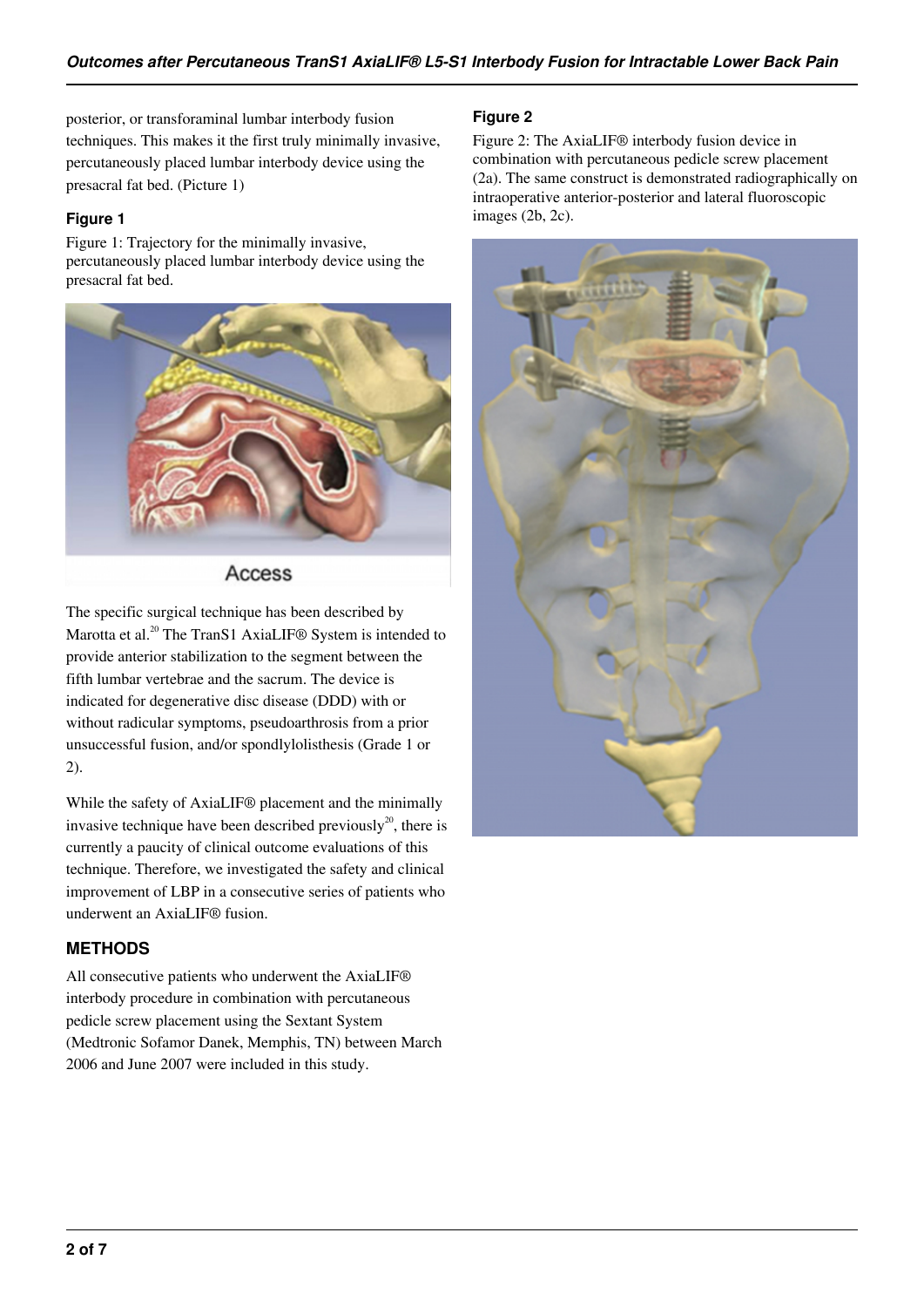posterior, or transforaminal lumbar interbody fusion techniques. This makes it the first truly minimally invasive, percutaneously placed lumbar interbody device using the presacral fat bed. (Picture 1)

# **Figure 1**

Figure 1: Trajectory for the minimally invasive, percutaneously placed lumbar interbody device using the presacral fat bed.



Access

The specific surgical technique has been described by Marotta et al.<sup>20</sup> The TranS1 AxiaLIF<sup>®</sup> System is intended to provide anterior stabilization to the segment between the fifth lumbar vertebrae and the sacrum. The device is indicated for degenerative disc disease (DDD) with or without radicular symptoms, pseudoarthrosis from a prior unsuccessful fusion, and/or spondlylolisthesis (Grade 1 or 2).

While the safety of AxiaLIF® placement and the minimally invasive technique have been described previously<sup>20</sup>, there is currently a paucity of clinical outcome evaluations of this technique. Therefore, we investigated the safety and clinical improvement of LBP in a consecutive series of patients who underwent an AxiaLIF® fusion.

# **METHODS**

All consecutive patients who underwent the AxiaLIF® interbody procedure in combination with percutaneous pedicle screw placement using the Sextant System (Medtronic Sofamor Danek, Memphis, TN) between March 2006 and June 2007 were included in this study.

## **Figure 2**

Figure 2: The AxiaLIF® interbody fusion device in combination with percutaneous pedicle screw placement (2a). The same construct is demonstrated radiographically on intraoperative anterior-posterior and lateral fluoroscopic images (2b, 2c).

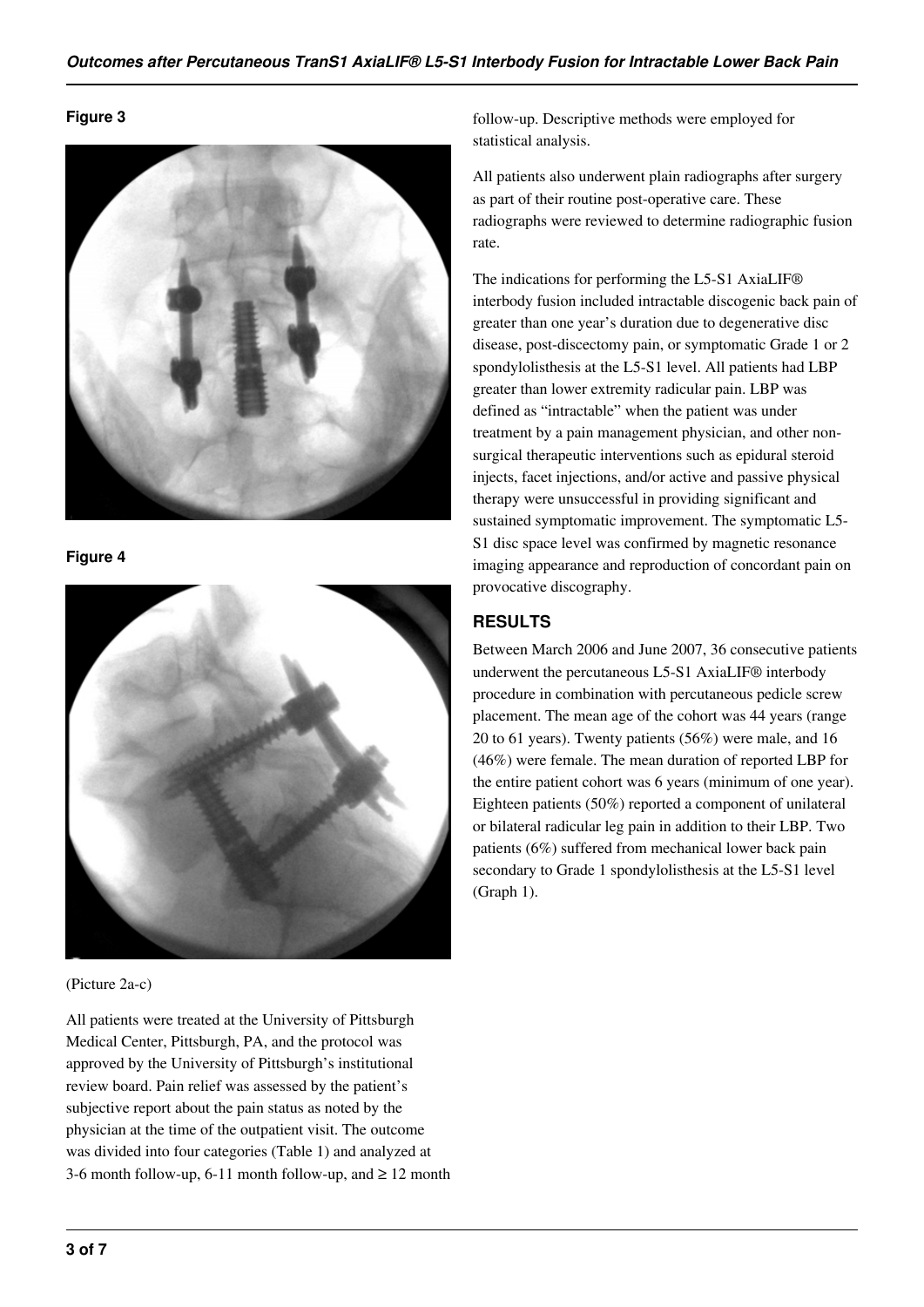#### **Figure 3**



**Figure 4**



(Picture 2a-c)

All patients were treated at the University of Pittsburgh Medical Center, Pittsburgh, PA, and the protocol was approved by the University of Pittsburgh's institutional review board. Pain relief was assessed by the patient's subjective report about the pain status as noted by the physician at the time of the outpatient visit. The outcome was divided into four categories (Table 1) and analyzed at 3-6 month follow-up, 6-11 month follow-up, and  $\geq 12$  month follow-up. Descriptive methods were employed for statistical analysis.

All patients also underwent plain radiographs after surgery as part of their routine post-operative care. These radiographs were reviewed to determine radiographic fusion rate.

The indications for performing the L5-S1 AxiaLIF® interbody fusion included intractable discogenic back pain of greater than one year's duration due to degenerative disc disease, post-discectomy pain, or symptomatic Grade 1 or 2 spondylolisthesis at the L5-S1 level. All patients had LBP greater than lower extremity radicular pain. LBP was defined as "intractable" when the patient was under treatment by a pain management physician, and other nonsurgical therapeutic interventions such as epidural steroid injects, facet injections, and/or active and passive physical therapy were unsuccessful in providing significant and sustained symptomatic improvement. The symptomatic L5- S1 disc space level was confirmed by magnetic resonance imaging appearance and reproduction of concordant pain on provocative discography.

# **RESULTS**

Between March 2006 and June 2007, 36 consecutive patients underwent the percutaneous L5-S1 AxiaLIF® interbody procedure in combination with percutaneous pedicle screw placement. The mean age of the cohort was 44 years (range 20 to 61 years). Twenty patients (56%) were male, and 16 (46%) were female. The mean duration of reported LBP for the entire patient cohort was 6 years (minimum of one year). Eighteen patients (50%) reported a component of unilateral or bilateral radicular leg pain in addition to their LBP. Two patients (6%) suffered from mechanical lower back pain secondary to Grade 1 spondylolisthesis at the L5-S1 level (Graph 1).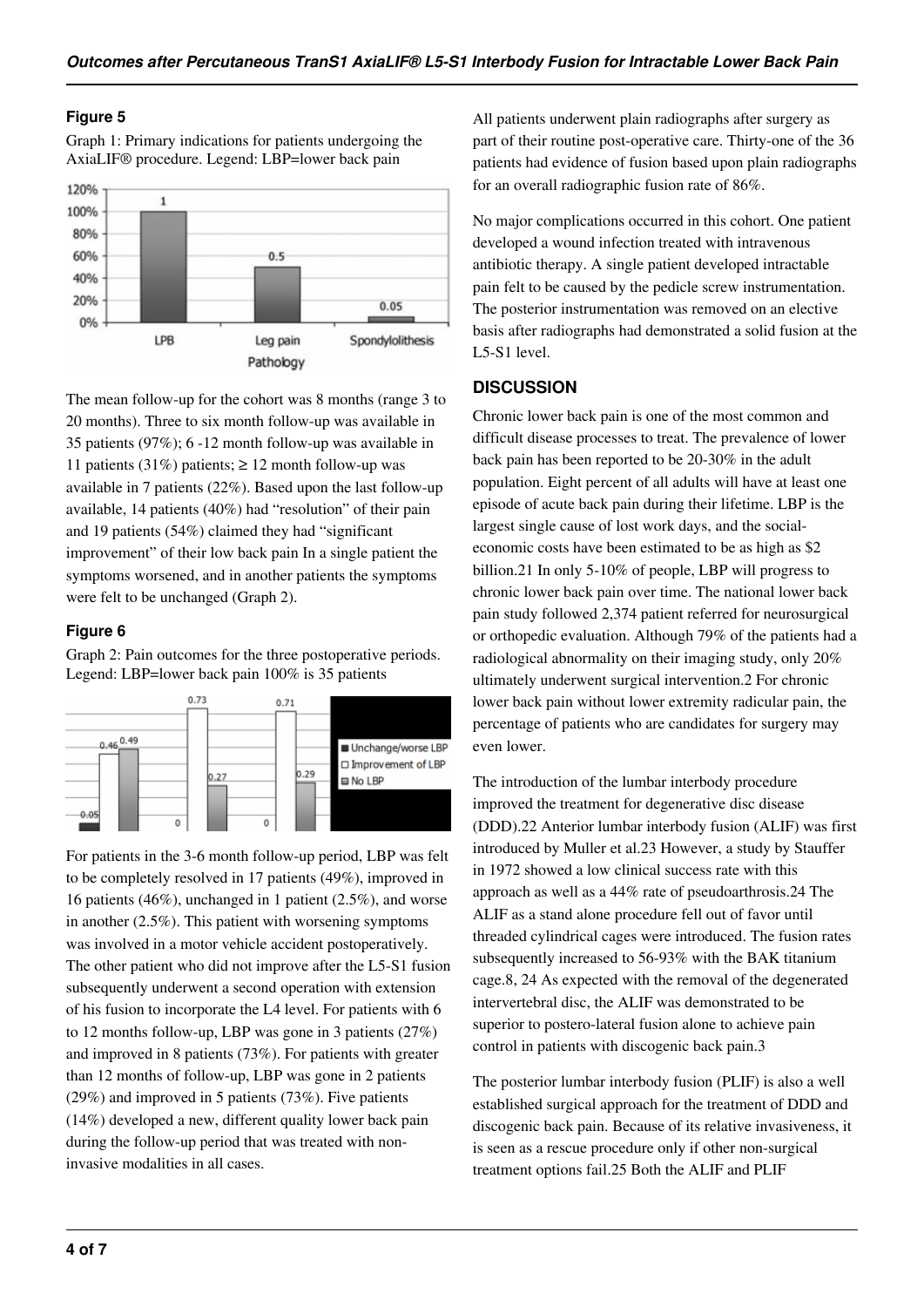#### **Figure 5**

Graph 1: Primary indications for patients undergoing the AxiaLIF® procedure. Legend: LBP=lower back pain



The mean follow-up for the cohort was 8 months (range 3 to 20 months). Three to six month follow-up was available in 35 patients (97%); 6 -12 month follow-up was available in 11 patients (31%) patients;  $\geq$  12 month follow-up was available in 7 patients (22%). Based upon the last follow-up available, 14 patients (40%) had "resolution" of their pain and 19 patients (54%) claimed they had "significant improvement" of their low back pain In a single patient the symptoms worsened, and in another patients the symptoms were felt to be unchanged (Graph 2).

#### **Figure 6**

Graph 2: Pain outcomes for the three postoperative periods. Legend: LBP=lower back pain 100% is 35 patients



For patients in the 3-6 month follow-up period, LBP was felt to be completely resolved in 17 patients (49%), improved in 16 patients (46%), unchanged in 1 patient (2.5%), and worse in another (2.5%). This patient with worsening symptoms was involved in a motor vehicle accident postoperatively. The other patient who did not improve after the L5-S1 fusion subsequently underwent a second operation with extension of his fusion to incorporate the L4 level. For patients with 6 to 12 months follow-up, LBP was gone in 3 patients (27%) and improved in 8 patients (73%). For patients with greater than 12 months of follow-up, LBP was gone in 2 patients (29%) and improved in 5 patients (73%). Five patients (14%) developed a new, different quality lower back pain during the follow-up period that was treated with noninvasive modalities in all cases.

All patients underwent plain radiographs after surgery as part of their routine post-operative care. Thirty-one of the 36 patients had evidence of fusion based upon plain radiographs for an overall radiographic fusion rate of 86%.

No major complications occurred in this cohort. One patient developed a wound infection treated with intravenous antibiotic therapy. A single patient developed intractable pain felt to be caused by the pedicle screw instrumentation. The posterior instrumentation was removed on an elective basis after radiographs had demonstrated a solid fusion at the L5-S1 level.

# **DISCUSSION**

Chronic lower back pain is one of the most common and difficult disease processes to treat. The prevalence of lower back pain has been reported to be 20-30% in the adult population. Eight percent of all adults will have at least one episode of acute back pain during their lifetime. LBP is the largest single cause of lost work days, and the socialeconomic costs have been estimated to be as high as \$2 billion.21 In only 5-10% of people, LBP will progress to chronic lower back pain over time. The national lower back pain study followed 2,374 patient referred for neurosurgical or orthopedic evaluation. Although 79% of the patients had a radiological abnormality on their imaging study, only 20% ultimately underwent surgical intervention.2 For chronic lower back pain without lower extremity radicular pain, the percentage of patients who are candidates for surgery may even lower.

The introduction of the lumbar interbody procedure improved the treatment for degenerative disc disease (DDD).22 Anterior lumbar interbody fusion (ALIF) was first introduced by Muller et al.23 However, a study by Stauffer in 1972 showed a low clinical success rate with this approach as well as a 44% rate of pseudoarthrosis.24 The ALIF as a stand alone procedure fell out of favor until threaded cylindrical cages were introduced. The fusion rates subsequently increased to 56-93% with the BAK titanium cage.8, 24 As expected with the removal of the degenerated intervertebral disc, the ALIF was demonstrated to be superior to postero-lateral fusion alone to achieve pain control in patients with discogenic back pain.3

The posterior lumbar interbody fusion (PLIF) is also a well established surgical approach for the treatment of DDD and discogenic back pain. Because of its relative invasiveness, it is seen as a rescue procedure only if other non-surgical treatment options fail.25 Both the ALIF and PLIF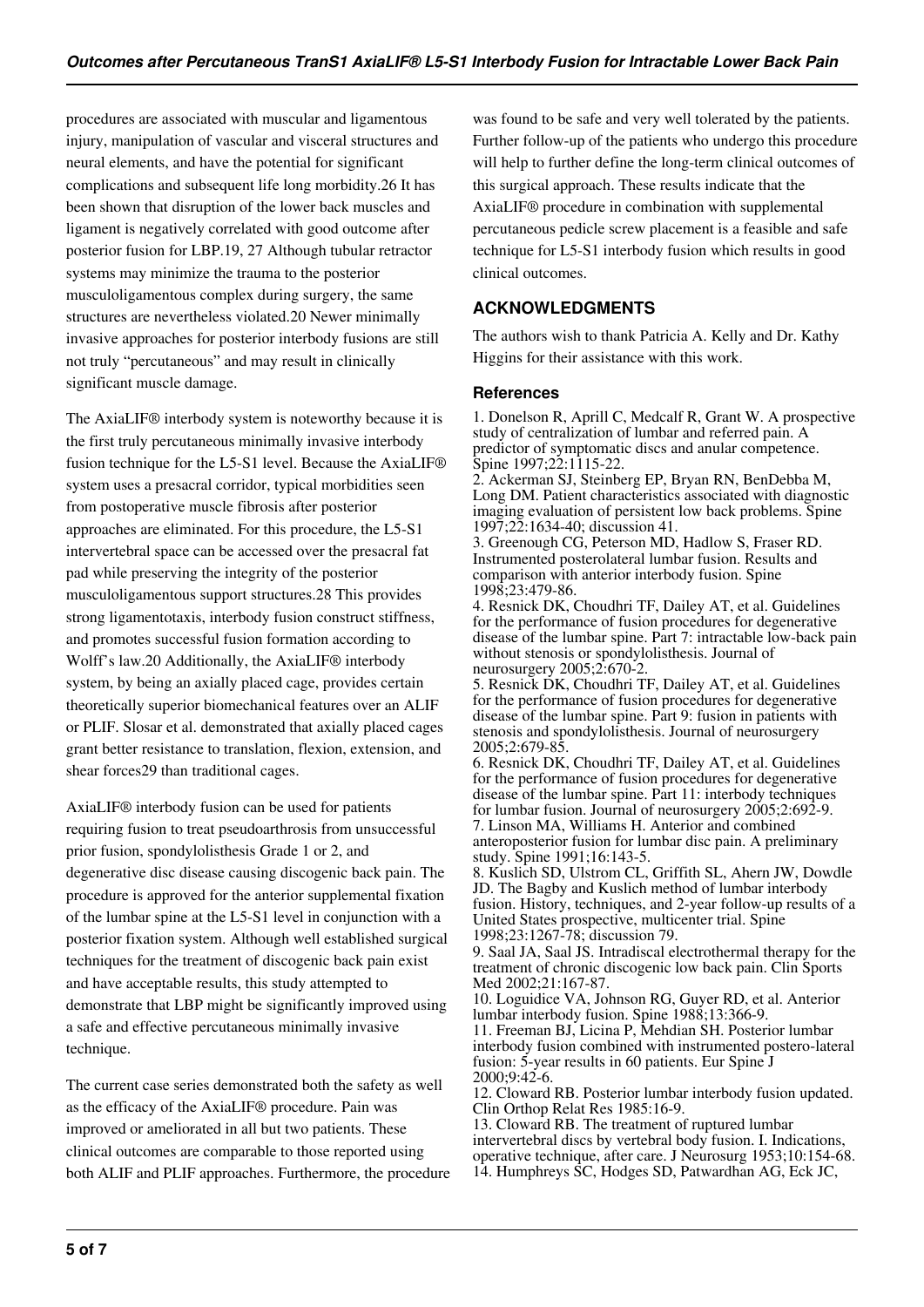procedures are associated with muscular and ligamentous injury, manipulation of vascular and visceral structures and neural elements, and have the potential for significant complications and subsequent life long morbidity.26 It has been shown that disruption of the lower back muscles and ligament is negatively correlated with good outcome after posterior fusion for LBP.19, 27 Although tubular retractor systems may minimize the trauma to the posterior musculoligamentous complex during surgery, the same structures are nevertheless violated.20 Newer minimally invasive approaches for posterior interbody fusions are still not truly "percutaneous" and may result in clinically significant muscle damage.

The AxiaLIF® interbody system is noteworthy because it is the first truly percutaneous minimally invasive interbody fusion technique for the L5-S1 level. Because the AxiaLIF® system uses a presacral corridor, typical morbidities seen from postoperative muscle fibrosis after posterior approaches are eliminated. For this procedure, the L5-S1 intervertebral space can be accessed over the presacral fat pad while preserving the integrity of the posterior musculoligamentous support structures.28 This provides strong ligamentotaxis, interbody fusion construct stiffness, and promotes successful fusion formation according to Wolff's law.20 Additionally, the AxiaLIF® interbody system, by being an axially placed cage, provides certain theoretically superior biomechanical features over an ALIF or PLIF. Slosar et al. demonstrated that axially placed cages grant better resistance to translation, flexion, extension, and shear forces29 than traditional cages.

AxiaLIF® interbody fusion can be used for patients requiring fusion to treat pseudoarthrosis from unsuccessful prior fusion, spondylolisthesis Grade 1 or 2, and degenerative disc disease causing discogenic back pain. The procedure is approved for the anterior supplemental fixation of the lumbar spine at the L5-S1 level in conjunction with a posterior fixation system. Although well established surgical techniques for the treatment of discogenic back pain exist and have acceptable results, this study attempted to demonstrate that LBP might be significantly improved using a safe and effective percutaneous minimally invasive technique.

The current case series demonstrated both the safety as well as the efficacy of the AxiaLIF® procedure. Pain was improved or ameliorated in all but two patients. These clinical outcomes are comparable to those reported using both ALIF and PLIF approaches. Furthermore, the procedure

was found to be safe and very well tolerated by the patients. Further follow-up of the patients who undergo this procedure will help to further define the long-term clinical outcomes of this surgical approach. These results indicate that the AxiaLIF® procedure in combination with supplemental percutaneous pedicle screw placement is a feasible and safe technique for L5-S1 interbody fusion which results in good clinical outcomes.

# **ACKNOWLEDGMENTS**

The authors wish to thank Patricia A. Kelly and Dr. Kathy Higgins for their assistance with this work.

#### **References**

1. Donelson R, Aprill C, Medcalf R, Grant W. A prospective study of centralization of lumbar and referred pain. A predictor of symptomatic discs and anular competence. Spine 1997;22:1115-22.

2. Ackerman SJ, Steinberg EP, Bryan RN, BenDebba M, Long DM. Patient characteristics associated with diagnostic imaging evaluation of persistent low back problems. Spine 1997;22:1634-40; discussion 41.

3. Greenough CG, Peterson MD, Hadlow S, Fraser RD. Instrumented posterolateral lumbar fusion. Results and comparison with anterior interbody fusion. Spine 1998;23:479-86.

4. Resnick DK, Choudhri TF, Dailey AT, et al. Guidelines for the performance of fusion procedures for degenerative disease of the lumbar spine. Part 7: intractable low-back pain without stenosis or spondylolisthesis. Journal of neurosurgery 2005;2:670-2.

5. Resnick DK, Choudhri TF, Dailey AT, et al. Guidelines for the performance of fusion procedures for degenerative disease of the lumbar spine. Part 9: fusion in patients with stenosis and spondylolisthesis. Journal of neurosurgery 2005;2:679-85.

6. Resnick DK, Choudhri TF, Dailey AT, et al. Guidelines for the performance of fusion procedures for degenerative disease of the lumbar spine. Part 11: interbody techniques for lumbar fusion. Journal of neurosurgery 2005;2:692-9. 7. Linson MA, Williams H. Anterior and combined anteroposterior fusion for lumbar disc pain. A preliminary study. Spine 1991;16:143-5.

8. Kuslich SD, Ulstrom CL, Griffith SL, Ahern JW, Dowdle JD. The Bagby and Kuslich method of lumbar interbody fusion. History, techniques, and 2-year follow-up results of a United States prospective, multicenter trial. Spine 1998;23:1267-78; discussion 79.

9. Saal JA, Saal JS. Intradiscal electrothermal therapy for the treatment of chronic discogenic low back pain. Clin Sports Med 2002;21:167-87.

10. Loguidice VA, Johnson RG, Guyer RD, et al. Anterior lumbar interbody fusion. Spine 1988;13:366-9.

11. Freeman BJ, Licina P, Mehdian SH. Posterior lumbar interbody fusion combined with instrumented postero-lateral fusion: 5-year results in 60 patients. Eur Spine J 2000;9:42-6.

12. Cloward RB. Posterior lumbar interbody fusion updated. Clin Orthop Relat Res 1985:16-9.

13. Cloward RB. The treatment of ruptured lumbar intervertebral discs by vertebral body fusion. I. Indications, operative technique, after care. J Neurosurg 1953;10:154-68. 14. Humphreys SC, Hodges SD, Patwardhan AG, Eck JC,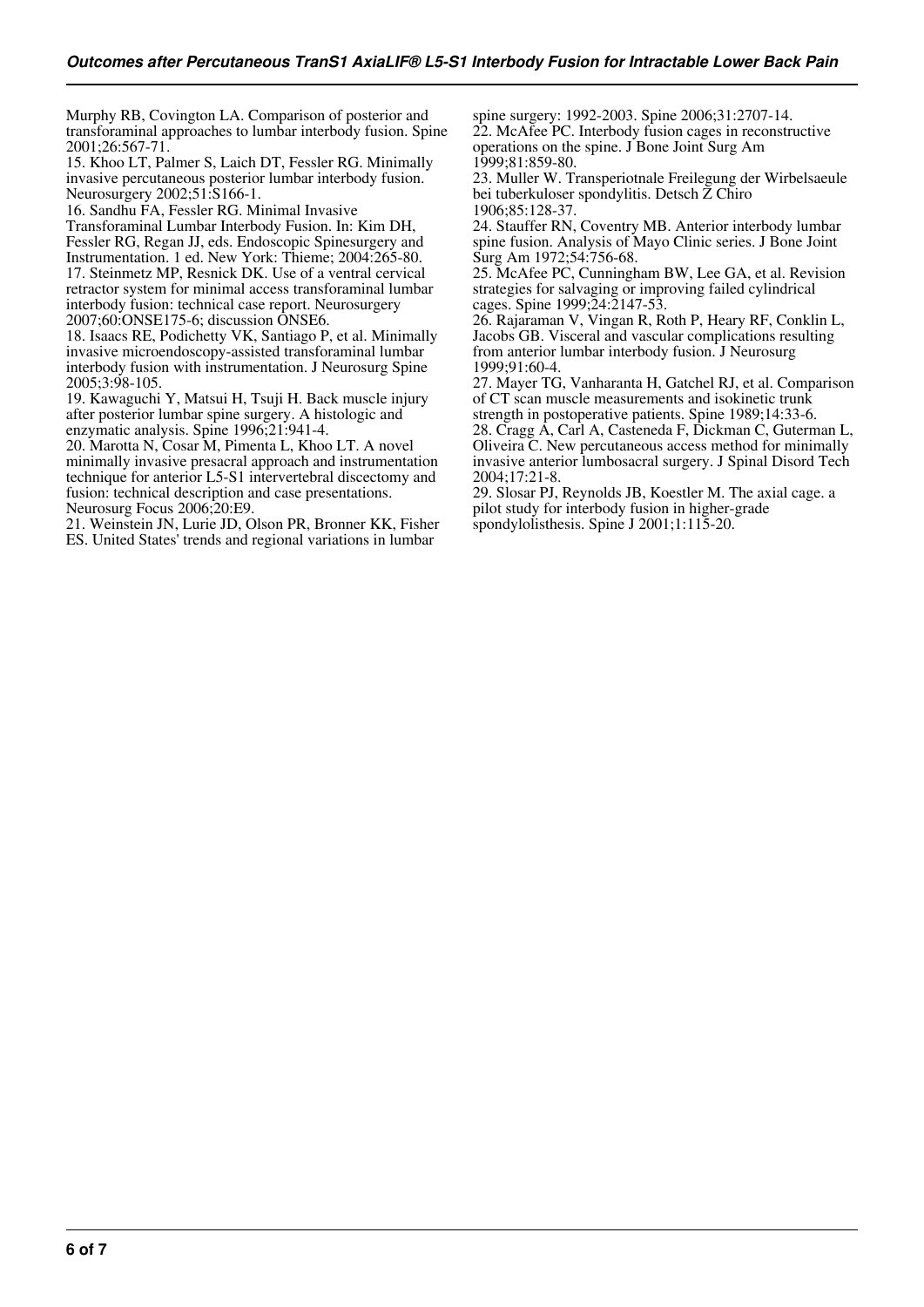Murphy RB, Covington LA. Comparison of posterior and transforaminal approaches to lumbar interbody fusion. Spine 2001;26:567-71.

15. Khoo LT, Palmer S, Laich DT, Fessler RG. Minimally invasive percutaneous posterior lumbar interbody fusion. Neurosurgery 2002;51:S166-1.

16. Sandhu FA, Fessler RG. Minimal Invasive Transforaminal Lumbar Interbody Fusion. In: Kim DH, Fessler RG, Regan JJ, eds. Endoscopic Spinesurgery and Instrumentation. 1 ed. New York: Thieme; 2004:265-80. 17. Steinmetz MP, Resnick DK. Use of a ventral cervical retractor system for minimal access transforaminal lumbar interbody fusion: technical case report. Neurosurgery 2007;60:ONSE175-6; discussion ONSE6.

18. Isaacs RE, Podichetty VK, Santiago P, et al. Minimally invasive microendoscopy-assisted transforaminal lumbar interbody fusion with instrumentation. J Neurosurg Spine 2005;3:98-105.

19. Kawaguchi Y, Matsui H, Tsuji H. Back muscle injury after posterior lumbar spine surgery. A histologic and enzymatic analysis. Spine 1996;21:941-4.

20. Marotta N, Cosar M, Pimenta L, Khoo LT. A novel minimally invasive presacral approach and instrumentation technique for anterior L5-S1 intervertebral discectomy and fusion: technical description and case presentations. Neurosurg Focus 2006;20:E9.

21. Weinstein JN, Lurie JD, Olson PR, Bronner KK, Fisher ES. United States' trends and regional variations in lumbar

spine surgery: 1992-2003. Spine 2006;31:2707-14. 22. McAfee PC. Interbody fusion cages in reconstructive operations on the spine. J Bone Joint Surg Am 1999;81:859-80.

23. Muller W. Transperiotnale Freilegung der Wirbelsaeule bei tuberkuloser spondylitis. Detsch Z Chiro 1906;85:128-37.

24. Stauffer RN, Coventry MB. Anterior interbody lumbar spine fusion. Analysis of Mayo Clinic series. J Bone Joint Surg Am 1972;54:756-68.

25. McAfee PC, Cunningham BW, Lee GA, et al. Revision strategies for salvaging or improving failed cylindrical cages. Spine 1999;24:2147-53.

26. Rajaraman V, Vingan R, Roth P, Heary RF, Conklin L, Jacobs GB. Visceral and vascular complications resulting from anterior lumbar interbody fusion. J Neurosurg 1999;91:60-4.

27. Mayer TG, Vanharanta H, Gatchel RJ, et al. Comparison of CT scan muscle measurements and isokinetic trunk strength in postoperative patients. Spine 1989;14:33-6.

28. Cragg A, Carl A, Casteneda F, Dickman C, Guterman L, Oliveira C. New percutaneous access method for minimally invasive anterior lumbosacral surgery. J Spinal Disord Tech 2004;17:21-8.

29. Slosar PJ, Reynolds JB, Koestler M. The axial cage. a pilot study for interbody fusion in higher-grade spondylolisthesis. Spine J 2001;1:115-20.